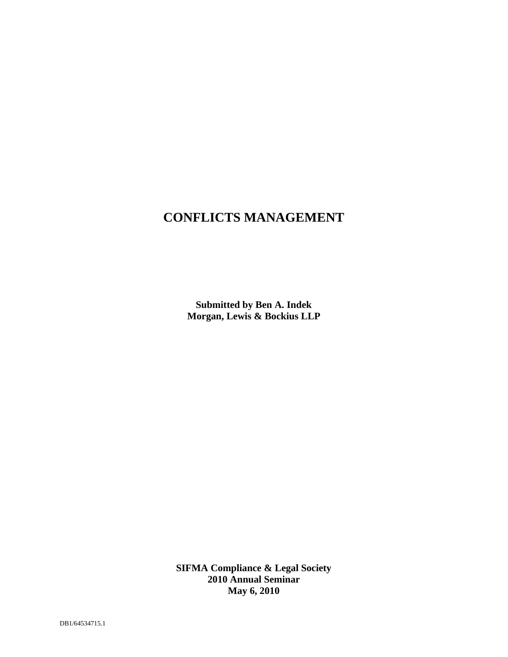## **CONFLICTS MANAGEMENT**

**Submitted by Ben A. Indek Morgan, Lewis & Bockius LLP**

**SIFMA Compliance & Legal Society 2010 Annual Seminar May 6, 2010**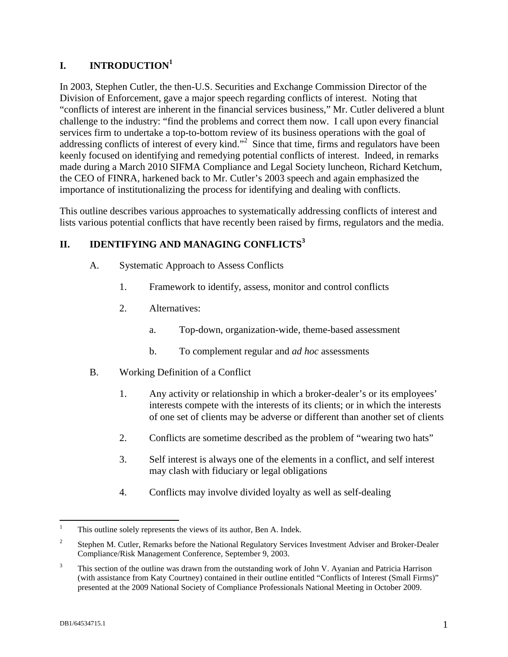## **I. INTRODUCTION<sup>1</sup>**

In 2003, Stephen Cutler, the then-U.S. Securities and Exchange Commission Director of the Division of Enforcement, gave a major speech regarding conflicts of interest. Noting that "conflicts of interest are inherent in the financial services business," Mr. Cutler delivered a blunt challenge to the industry: "find the problems and correct them now. I call upon every financial services firm to undertake a top-to-bottom review of its business operations with the goal of addressing conflicts of interest of every kind."<sup>2</sup> Since that time, firms and regulators have been keenly focused on identifying and remedying potential conflicts of interest. Indeed, in remarks made during a March 2010 SIFMA Compliance and Legal Society luncheon, Richard Ketchum, the CEO of FINRA, harkened back to Mr. Cutler's 2003 speech and again emphasized the importance of institutionalizing the process for identifying and dealing with conflicts.

This outline describes various approaches to systematically addressing conflicts of interest and lists various potential conflicts that have recently been raised by firms, regulators and the media.

## **II. IDENTIFYING AND MANAGING CONFLICTS<sup>3</sup>**

- A. Systematic Approach to Assess Conflicts
	- 1. Framework to identify, assess, monitor and control conflicts
	- 2. Alternatives:
		- a. Top-down, organization-wide, theme-based assessment
		- b. To complement regular and *ad hoc* assessments
- B. Working Definition of a Conflict
	- 1. Any activity or relationship in which a broker-dealer's or its employees' interests compete with the interests of its clients; or in which the interests of one set of clients may be adverse or different than another set of clients
	- 2. Conflicts are sometime described as the problem of "wearing two hats"
	- 3. Self interest is always one of the elements in a conflict, and self interest may clash with fiduciary or legal obligations
	- 4. Conflicts may involve divided loyalty as well as self-dealing

<sup>&</sup>lt;sup>1</sup> This outline solely represents the views of its author, Ben A. Indek.

 $\overline{2}$ Stephen M. Cutler, Remarks before the National Regulatory Services Investment Adviser and Broker-Dealer Compliance/Risk Management Conference, September 9, 2003.

<sup>&</sup>lt;sup>3</sup> This section of the outline was drawn from the outstanding work of John V. Ayanian and Patricia Harrison (with assistance from Katy Courtney) contained in their outline entitled "Conflicts of Interest (Small Firms)" presented at the 2009 National Society of Compliance Professionals National Meeting in October 2009.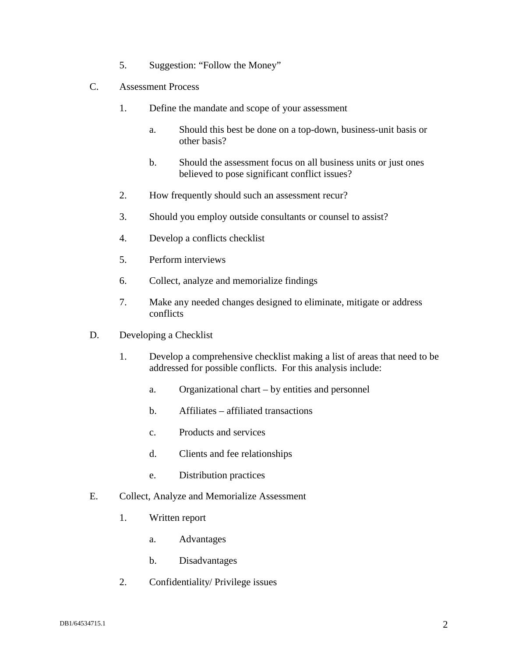- 5. Suggestion: "Follow the Money"
- C. Assessment Process
	- 1. Define the mandate and scope of your assessment
		- a. Should this best be done on a top-down, business-unit basis or other basis?
		- b. Should the assessment focus on all business units or just ones believed to pose significant conflict issues?
	- 2. How frequently should such an assessment recur?
	- 3. Should you employ outside consultants or counsel to assist?
	- 4. Develop a conflicts checklist
	- 5. Perform interviews
	- 6. Collect, analyze and memorialize findings
	- 7. Make any needed changes designed to eliminate, mitigate or address conflicts
- D. Developing a Checklist
	- 1. Develop a comprehensive checklist making a list of areas that need to be addressed for possible conflicts. For this analysis include:
		- a. Organizational chart by entities and personnel
		- b. Affiliates affiliated transactions
		- c. Products and services
		- d. Clients and fee relationships
		- e. Distribution practices
- E. Collect, Analyze and Memorialize Assessment
	- 1. Written report
		- a. Advantages
		- b. Disadvantages
	- 2. Confidentiality/ Privilege issues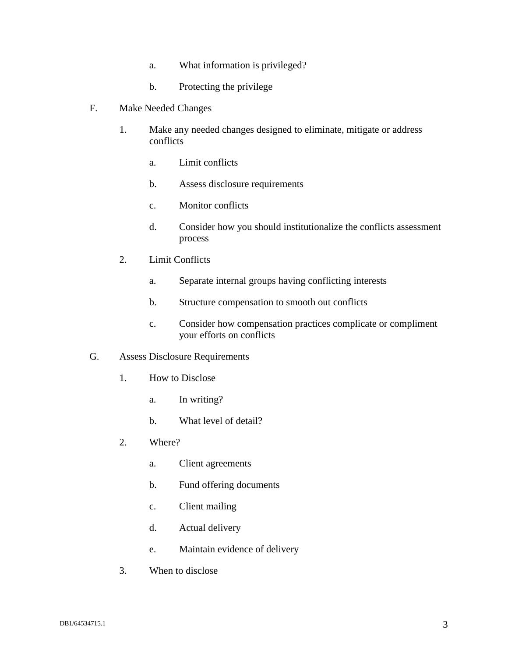- a. What information is privileged?
- b. Protecting the privilege
- F. Make Needed Changes
	- 1. Make any needed changes designed to eliminate, mitigate or address conflicts
		- a. Limit conflicts
		- b. Assess disclosure requirements
		- c. Monitor conflicts
		- d. Consider how you should institutionalize the conflicts assessment process
	- 2. Limit Conflicts
		- a. Separate internal groups having conflicting interests
		- b. Structure compensation to smooth out conflicts
		- c. Consider how compensation practices complicate or compliment your efforts on conflicts
- G. Assess Disclosure Requirements
	- 1. How to Disclose
		- a. In writing?
		- b. What level of detail?
	- 2. Where?
		- a. Client agreements
		- b. Fund offering documents
		- c. Client mailing
		- d. Actual delivery
		- e. Maintain evidence of delivery
	- 3. When to disclose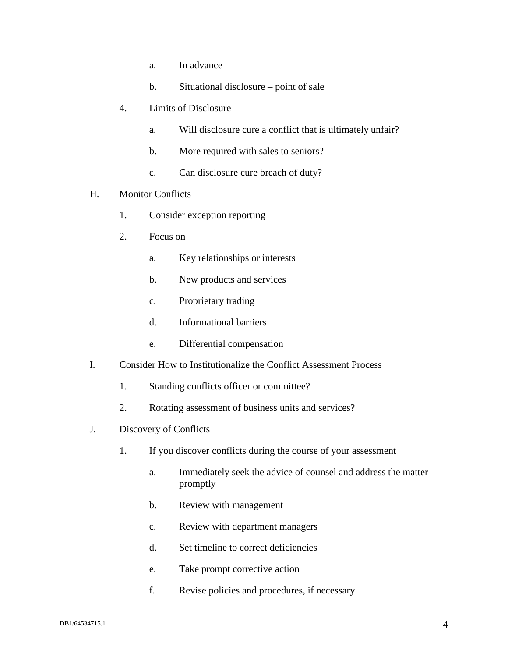- a. In advance
- b. Situational disclosure point of sale
- 4. Limits of Disclosure
	- a. Will disclosure cure a conflict that is ultimately unfair?
	- b. More required with sales to seniors?
	- c. Can disclosure cure breach of duty?
- H. Monitor Conflicts
	- 1. Consider exception reporting
	- 2. Focus on
		- a. Key relationships or interests
		- b. New products and services
		- c. Proprietary trading
		- d. Informational barriers
		- e. Differential compensation
- I. Consider How to Institutionalize the Conflict Assessment Process
	- 1. Standing conflicts officer or committee?
	- 2. Rotating assessment of business units and services?
- J. Discovery of Conflicts
	- 1. If you discover conflicts during the course of your assessment
		- a. Immediately seek the advice of counsel and address the matter promptly
		- b. Review with management
		- c. Review with department managers
		- d. Set timeline to correct deficiencies
		- e. Take prompt corrective action
		- f. Revise policies and procedures, if necessary